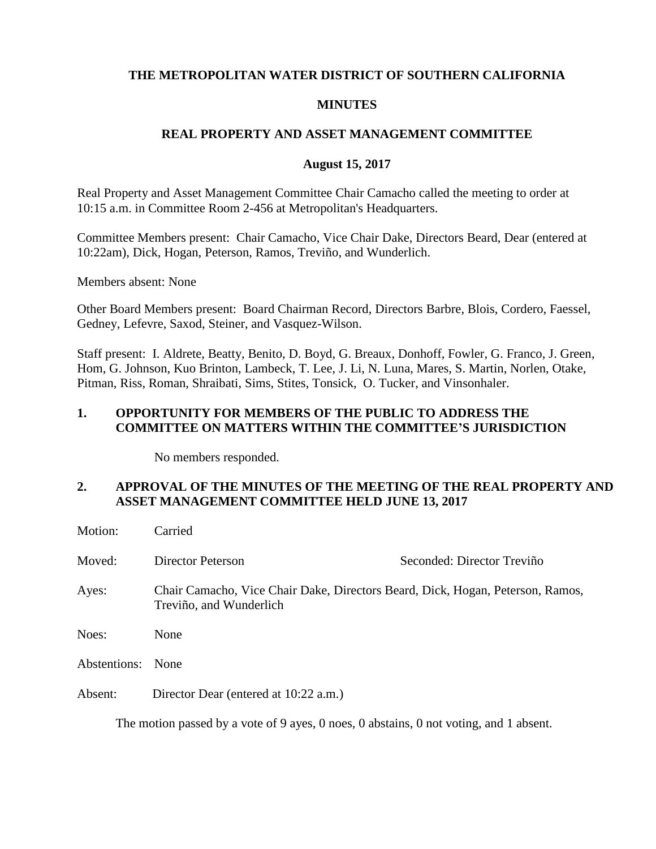## **THE METROPOLITAN WATER DISTRICT OF SOUTHERN CALIFORNIA**

#### **MINUTES**

## **REAL PROPERTY AND ASSET MANAGEMENT COMMITTEE**

#### **August 15, 2017**

Real Property and Asset Management Committee Chair Camacho called the meeting to order at 10:15 a.m. in Committee Room 2-456 at Metropolitan's Headquarters.

Committee Members present: Chair Camacho, Vice Chair Dake, Directors Beard, Dear (entered at 10:22am), Dick, Hogan, Peterson, Ramos, Treviño, and Wunderlich.

Members absent: None

Other Board Members present: Board Chairman Record, Directors Barbre, Blois, Cordero, Faessel, Gedney, Lefevre, Saxod, Steiner, and Vasquez-Wilson.

Staff present: I. Aldrete, Beatty, Benito, D. Boyd, G. Breaux, Donhoff, Fowler, G. Franco, J. Green, Hom, G. Johnson, Kuo Brinton, Lambeck, T. Lee, J. Li, N. Luna, Mares, S. Martin, Norlen, Otake, Pitman, Riss, Roman, Shraibati, Sims, Stites, Tonsick, O. Tucker, and Vinsonhaler.

### **1. OPPORTUNITY FOR MEMBERS OF THE PUBLIC TO ADDRESS THE COMMITTEE ON MATTERS WITHIN THE COMMITTEE'S JURISDICTION**

No members responded.

## **2. APPROVAL OF THE MINUTES OF THE MEETING OF THE REAL PROPERTY AND ASSET MANAGEMENT COMMITTEE HELD JUNE 13, 2017**

| Motion:      | Carried                                                                                                   |                            |  |
|--------------|-----------------------------------------------------------------------------------------------------------|----------------------------|--|
| Moved:       | Director Peterson                                                                                         | Seconded: Director Treviño |  |
| Ayes:        | Chair Camacho, Vice Chair Dake, Directors Beard, Dick, Hogan, Peterson, Ramos,<br>Treviño, and Wunderlich |                            |  |
| Noes:        | None                                                                                                      |                            |  |
| Abstentions: | None                                                                                                      |                            |  |
| Absent:      | Director Dear (entered at 10:22 a.m.)                                                                     |                            |  |

The motion passed by a vote of 9 ayes, 0 noes, 0 abstains, 0 not voting, and 1 absent.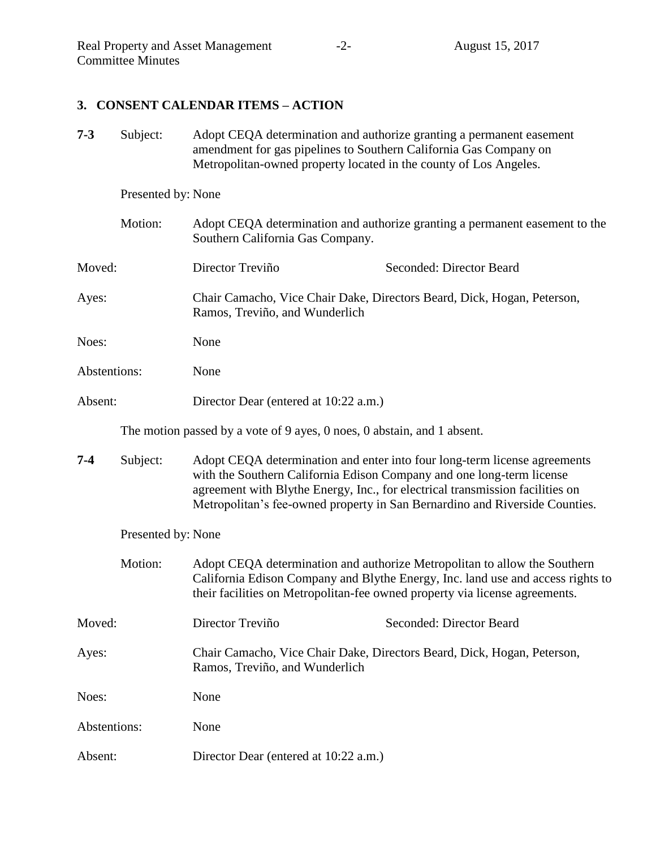# **3. CONSENT CALENDAR ITEMS – ACTION**

| $7 - 3$            | Subject:           | Adopt CEQA determination and authorize granting a permanent easement<br>amendment for gas pipelines to Southern California Gas Company on<br>Metropolitan-owned property located in the county of Los Angeles. |                                                                                                                                                                                                                                                                                                                    |  |
|--------------------|--------------------|----------------------------------------------------------------------------------------------------------------------------------------------------------------------------------------------------------------|--------------------------------------------------------------------------------------------------------------------------------------------------------------------------------------------------------------------------------------------------------------------------------------------------------------------|--|
| Presented by: None |                    |                                                                                                                                                                                                                |                                                                                                                                                                                                                                                                                                                    |  |
|                    | Motion:            | Adopt CEQA determination and authorize granting a permanent easement to the<br>Southern California Gas Company.                                                                                                |                                                                                                                                                                                                                                                                                                                    |  |
| Moved:             |                    | Director Treviño                                                                                                                                                                                               | Seconded: Director Beard                                                                                                                                                                                                                                                                                           |  |
| Ayes:              |                    | Chair Camacho, Vice Chair Dake, Directors Beard, Dick, Hogan, Peterson,<br>Ramos, Treviño, and Wunderlich                                                                                                      |                                                                                                                                                                                                                                                                                                                    |  |
| Noes:              |                    | None                                                                                                                                                                                                           |                                                                                                                                                                                                                                                                                                                    |  |
| Abstentions:       |                    | None                                                                                                                                                                                                           |                                                                                                                                                                                                                                                                                                                    |  |
| Absent:            |                    | Director Dear (entered at 10:22 a.m.)                                                                                                                                                                          |                                                                                                                                                                                                                                                                                                                    |  |
|                    |                    | The motion passed by a vote of 9 ayes, 0 noes, 0 abstain, and 1 absent.                                                                                                                                        |                                                                                                                                                                                                                                                                                                                    |  |
| $7 - 4$            | Subject:           |                                                                                                                                                                                                                | Adopt CEQA determination and enter into four long-term license agreements<br>with the Southern California Edison Company and one long-term license<br>agreement with Blythe Energy, Inc., for electrical transmission facilities on<br>Metropolitan's fee-owned property in San Bernardino and Riverside Counties. |  |
|                    | Presented by: None |                                                                                                                                                                                                                |                                                                                                                                                                                                                                                                                                                    |  |
|                    | Motion:            |                                                                                                                                                                                                                | Adopt CEQA determination and authorize Metropolitan to allow the Southern<br>California Edison Company and Blythe Energy, Inc. land use and access rights to<br>their facilities on Metropolitan-fee owned property via license agreements.                                                                        |  |
| Moved:             |                    | Director Treviño                                                                                                                                                                                               | Seconded: Director Beard                                                                                                                                                                                                                                                                                           |  |
| Ayes:              |                    | Ramos, Treviño, and Wunderlich                                                                                                                                                                                 | Chair Camacho, Vice Chair Dake, Directors Beard, Dick, Hogan, Peterson,                                                                                                                                                                                                                                            |  |
| Noes:              |                    | None                                                                                                                                                                                                           |                                                                                                                                                                                                                                                                                                                    |  |
| Abstentions:       |                    | None                                                                                                                                                                                                           |                                                                                                                                                                                                                                                                                                                    |  |
| Absent:            |                    | Director Dear (entered at 10:22 a.m.)                                                                                                                                                                          |                                                                                                                                                                                                                                                                                                                    |  |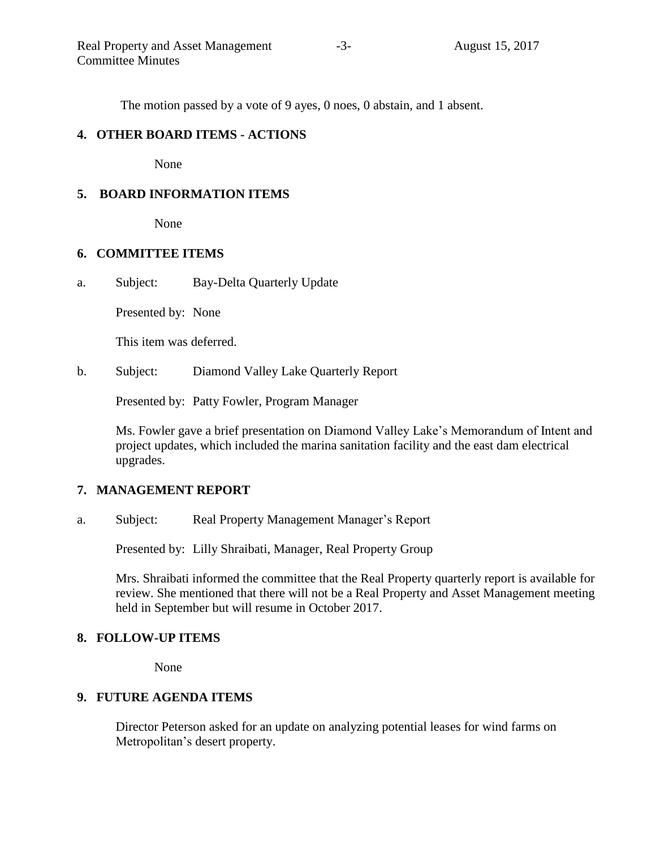The motion passed by a vote of 9 ayes, 0 noes, 0 abstain, and 1 absent.

## **4. OTHER BOARD ITEMS - ACTIONS**

None

## **5. BOARD INFORMATION ITEMS**

None

## **6. COMMITTEE ITEMS**

a. Subject: Bay-Delta Quarterly Update

Presented by: None

This item was deferred.

b. Subject: Diamond Valley Lake Quarterly Report

Presented by: Patty Fowler, Program Manager

Ms. Fowler gave a brief presentation on Diamond Valley Lake's Memorandum of Intent and project updates, which included the marina sanitation facility and the east dam electrical upgrades.

# **7. MANAGEMENT REPORT**

a. Subject: Real Property Management Manager's Report

Presented by: Lilly Shraibati, Manager, Real Property Group

Mrs. Shraibati informed the committee that the Real Property quarterly report is available for review. She mentioned that there will not be a Real Property and Asset Management meeting held in September but will resume in October 2017.

## **8. FOLLOW-UP ITEMS**

None

# **9. FUTURE AGENDA ITEMS**

Director Peterson asked for an update on analyzing potential leases for wind farms on Metropolitan's desert property.